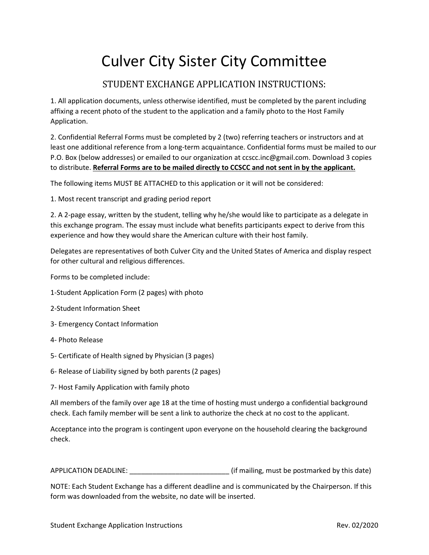## Culver City Sister City Committee

## STUDENT EXCHANGE APPLICATION INSTRUCTIONS:

1. All application documents, unless otherwise identified, must be completed by the parent including affixing a recent photo of the student to the application and a family photo to the Host Family Application.

2. Confidential Referral Forms must be completed by 2 (two) referring teachers or instructors and at least one additional reference from a long-term acquaintance. Confidential forms must be mailed to our P.O. Box (below addresses) or emailed to our organization at ccscc.inc@gmail.com. Download 3 copies to distribute. **Referral Forms are to be mailed directly to CCSCC and not sent in by the applicant.**

The following items MUST BE ATTACHED to this application or it will not be considered:

1. Most recent transcript and grading period report

2. A 2-page essay, written by the student, telling why he/she would like to participate as a delegate in this exchange program. The essay must include what benefits participants expect to derive from this experience and how they would share the American culture with their host family.

Delegates are representatives of both Culver City and the United States of America and display respect for other cultural and religious differences.

Forms to be completed include:

- 1-Student Application Form (2 pages) with photo
- 2-Student Information Sheet
- 3- Emergency Contact Information
- 4- Photo Release
- 5- Certificate of Health signed by Physician (3 pages)
- 6- Release of Liability signed by both parents (2 pages)
- 7- Host Family Application with family photo

All members of the family over age 18 at the time of hosting must undergo a confidential background check. Each family member will be sent a link to authorize the check at no cost to the applicant.

Acceptance into the program is contingent upon everyone on the household clearing the background check.

APPLICATION DEADLINE: **Example 20 and SECONDINE:** (if mailing, must be postmarked by this date)

NOTE: Each Student Exchange has a different deadline and is communicated by the Chairperson. If this form was downloaded from the website, no date will be inserted.